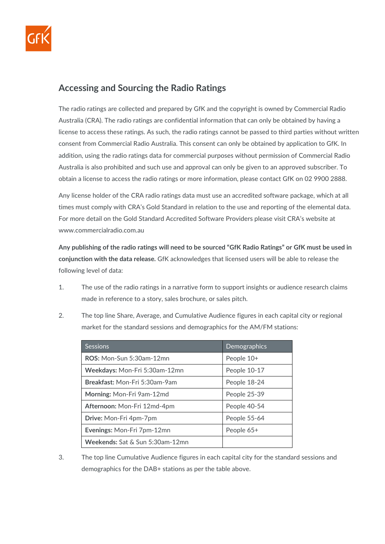

## **Accessing and Sourcing the Radio Ratings**

The radio ratings are collected and prepared by GfK and the copyright is owned by Commercial Radio Australia (CRA). The radio ratings are confidential information that can only be obtained by having a license to access these ratings. As such, the radio ratings cannot be passed to third parties without written consent from Commercial Radio Australia. This consent can only be obtained by application to GfK. In addition, using the radio ratings data for commercial purposes without permission of Commercial Radio Australia is also prohibited and such use and approval can only be given to an approved subscriber. To obtain a license to access the radio ratings or more information, please contact GfK on 02 9900 2888.

Any license holder of the CRA radio ratings data must use an accredited software package, which at all times must comply with CRA's Gold Standard in relation to the use and reporting of the elemental data. For more detail on the Gold Standard Accredited Software Providers please visit CRA's website at www.commercialradio.com.au

**Any publishing of the radio ratings will need to be sourced "GfK Radio Ratings" or GfK must be used in conjunction with the data release.** GfK acknowledges that licensed users will be able to release the following level of data:

- 1. The use of the radio ratings in a narrative form to support insights or audience research claims made in reference to a story, sales brochure, or sales pitch.
- 2. The top line Share, Average, and Cumulative Audience figures in each capital city or regional market for the standard sessions and demographics for the AM/FM stations:

| <b>Sessions</b>                        | Demographics |
|----------------------------------------|--------------|
| ROS: Mon-Sun 5:30am-12mn               | People 10+   |
| Weekdays: Mon-Fri 5:30am-12mn          | People 10-17 |
| Breakfast: Mon-Fri 5:30am-9am          | People 18-24 |
| Morning: Mon-Fri 9am-12md              | People 25-39 |
| Afternoon: Mon-Fri 12md-4pm            | People 40-54 |
| <b>Drive:</b> Mon-Fri 4pm-7pm          | People 55-64 |
| Evenings: Mon-Fri 7pm-12mn             | People 65+   |
| <b>Weekends:</b> Sat & Sun 5:30am-12mn |              |

3. The top line Cumulative Audience figures in each capital city for the standard sessions and demographics for the DAB+ stations as per the table above.